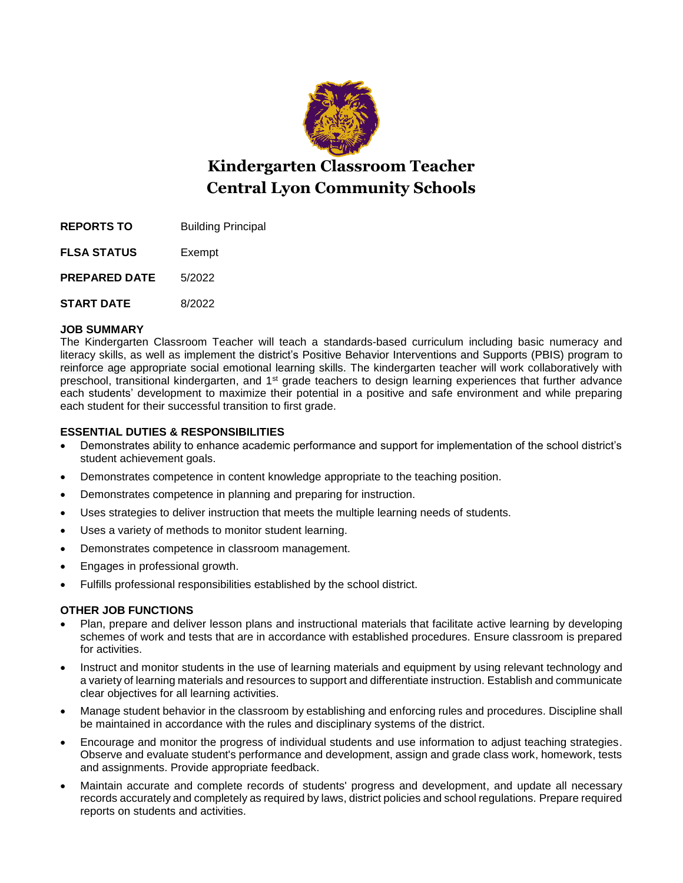

# **Kindergarten Classroom Teacher Central Lyon Community Schools**

**REPORTS TO** Building Principal

**FLSA STATUS** Exempt

**PREPARED DATE** 5/2022

**START DATE** 8/2022

## **JOB SUMMARY**

The Kindergarten Classroom Teacher will teach a standards-based curriculum including basic numeracy and literacy skills, as well as implement the district's Positive Behavior Interventions and Supports (PBIS) program to reinforce age appropriate social emotional learning skills. The kindergarten teacher will work collaboratively with preschool, transitional kindergarten, and 1<sup>st</sup> grade teachers to design learning experiences that further advance each students' development to maximize their potential in a positive and safe environment and while preparing each student for their successful transition to first grade.

# **ESSENTIAL DUTIES & RESPONSIBILITIES**

- Demonstrates ability to enhance academic performance and support for implementation of the school district's student achievement goals.
- Demonstrates competence in content knowledge appropriate to the teaching position.
- Demonstrates competence in planning and preparing for instruction.
- Uses strategies to deliver instruction that meets the multiple learning needs of students.
- Uses a variety of methods to monitor student learning.
- Demonstrates competence in classroom management.
- Engages in professional growth.
- Fulfills professional responsibilities established by the school district.

# **OTHER JOB FUNCTIONS**

- Plan, prepare and deliver lesson plans and instructional materials that facilitate active learning by developing schemes of work and tests that are in accordance with established procedures. Ensure classroom is prepared for activities.
- Instruct and monitor students in the use of learning materials and equipment by using relevant technology and a variety of learning materials and resources to support and differentiate instruction. Establish and communicate clear objectives for all learning activities.
- Manage student behavior in the classroom by establishing and enforcing rules and procedures. Discipline shall be maintained in accordance with the rules and disciplinary systems of the district.
- Encourage and monitor the progress of individual students and use information to adjust teaching strategies. Observe and evaluate student's performance and development, assign and grade class work, homework, tests and assignments. Provide appropriate feedback.
- Maintain accurate and complete records of students' progress and development, and update all necessary records accurately and completely as required by laws, district policies and school regulations. Prepare required reports on students and activities.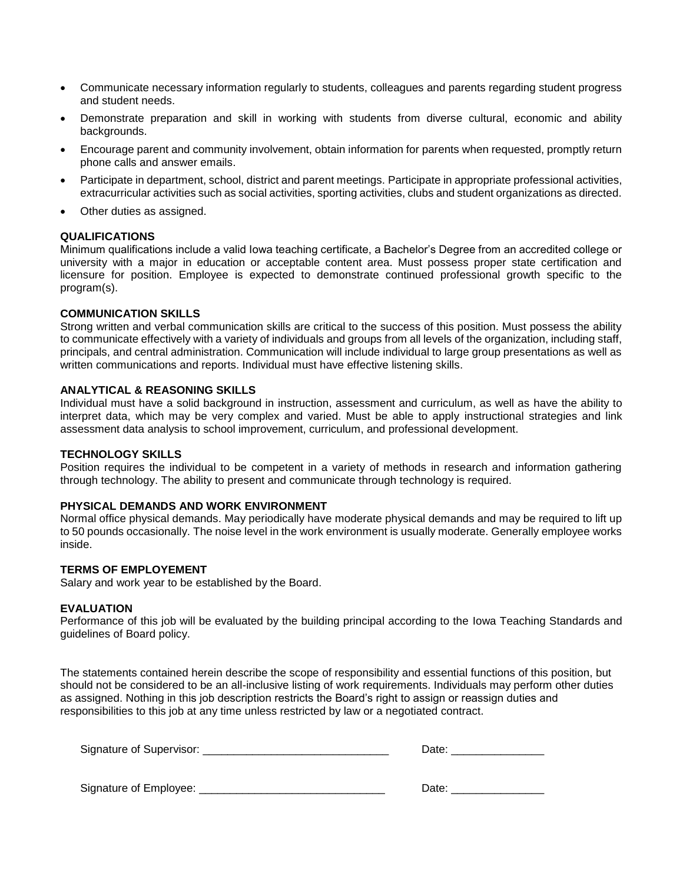- Communicate necessary information regularly to students, colleagues and parents regarding student progress and student needs.
- Demonstrate preparation and skill in working with students from diverse cultural, economic and ability backgrounds.
- Encourage parent and community involvement, obtain information for parents when requested, promptly return phone calls and answer emails.
- Participate in department, school, district and parent meetings. Participate in appropriate professional activities, extracurricular activities such as social activities, sporting activities, clubs and student organizations as directed.
- Other duties as assigned.

#### **QUALIFICATIONS**

Minimum qualifications include a valid Iowa teaching certificate, a Bachelor's Degree from an accredited college or university with a major in education or acceptable content area. Must possess proper state certification and licensure for position. Employee is expected to demonstrate continued professional growth specific to the program(s).

#### **COMMUNICATION SKILLS**

Strong written and verbal communication skills are critical to the success of this position. Must possess the ability to communicate effectively with a variety of individuals and groups from all levels of the organization, including staff, principals, and central administration. Communication will include individual to large group presentations as well as written communications and reports. Individual must have effective listening skills.

#### **ANALYTICAL & REASONING SKILLS**

Individual must have a solid background in instruction, assessment and curriculum, as well as have the ability to interpret data, which may be very complex and varied. Must be able to apply instructional strategies and link assessment data analysis to school improvement, curriculum, and professional development.

#### **TECHNOLOGY SKILLS**

Position requires the individual to be competent in a variety of methods in research and information gathering through technology. The ability to present and communicate through technology is required.

#### **PHYSICAL DEMANDS AND WORK ENVIRONMENT**

Normal office physical demands. May periodically have moderate physical demands and may be required to lift up to 50 pounds occasionally. The noise level in the work environment is usually moderate. Generally employee works inside.

## **TERMS OF EMPLOYEMENT**

Salary and work year to be established by the Board.

#### **EVALUATION**

Performance of this job will be evaluated by the building principal according to the Iowa Teaching Standards and guidelines of Board policy.

The statements contained herein describe the scope of responsibility and essential functions of this position, but should not be considered to be an all-inclusive listing of work requirements. Individuals may perform other duties as assigned. Nothing in this job description restricts the Board's right to assign or reassign duties and responsibilities to this job at any time unless restricted by law or a negotiated contract.

| Signature of Supervisor: | ⊃ate: |
|--------------------------|-------|
|                          |       |
|                          |       |

Signature of Employee: \_\_\_\_\_\_\_\_\_\_\_\_\_\_\_\_\_\_\_\_\_\_\_\_\_\_\_\_\_\_ Date: \_\_\_\_\_\_\_\_\_\_\_\_\_\_\_